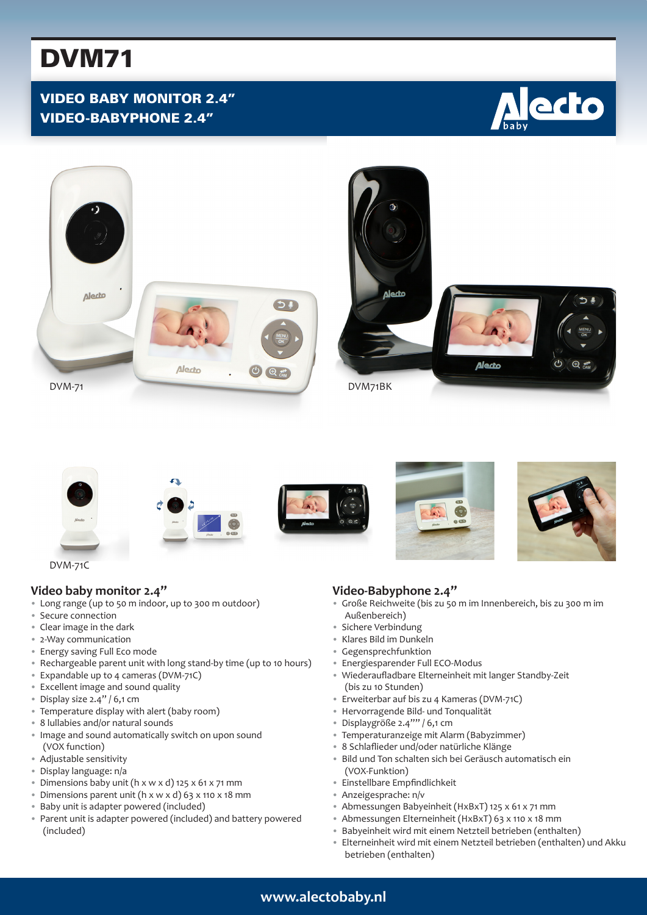# DVM71

## VIDEO BABY MONITOR 2.4" VIDEO-BABYPHONE 2.4"







DVM-71C

#### **Video baby monitor 2.4"**

- Long range (up to 50 m indoor, up to 300 m outdoor)
- Secure connection
- Clear image in the dark
- 2-Way communication
- Energy saving Full Eco mode
- Rechargeable parent unit with long stand-by time (up to 10 hours)
- Expandable up to 4 cameras (DVM-71C)
- Excellent image and sound quality
- Display size 2.4" / 6,1 cm
- Temperature display with alert (baby room)
- 8 lullabies and/or natural sounds
- Image and sound automatically switch on upon sound (VOX function)
- Adjustable sensitivity
- Display language: n/a
- Dimensions baby unit (h x w x d) 125 x 61 x 71 mm
- Dimensions parent unit (h x w x d) 63 x 110 x 18 mm
- Baby unit is adapter powered (included)
- Parent unit is adapter powered (included) and battery powered (included)

#### **Video-Babyphone 2.4"**

- Große Reichweite (bis zu 50 m im Innenbereich, bis zu 300 m im Außenbereich)
- Sichere Verbindung
- Klares Bild im Dunkeln
- Gegensprechfunktion
- Energiesparender Full ECO-Modus
- Wiederaufladbare Elterneinheit mit langer Standby-Zeit (bis zu 10 Stunden)
- Erweiterbar auf bis zu 4 Kameras (DVM-71C)
- Hervorragende Bild- und Tonqualität
- Displaygröße 2.4"" / 6,1 cm
- Temperaturanzeige mit Alarm (Babyzimmer)
- 8 Schlaflieder und/oder natürliche Klänge
- Bild und Ton schalten sich bei Geräusch automatisch ein (VOX-Funktion)
- Einstellbare Empfindlichkeit
- Anzeigesprache: n/v
- Abmessungen Babyeinheit (HxBxT) 125 x 61 x 71 mm
- Abmessungen Elterneinheit (HxBxT) 63 x 110 x 18 mm
- Babyeinheit wird mit einem Netzteil betrieben (enthalten)
- Elterneinheit wird mit einem Netzteil betrieben (enthalten) und Akku betrieben (enthalten)